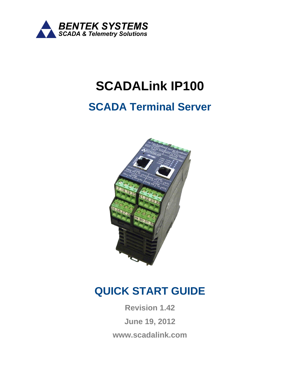

# **SCADALink IP100**

# **SCADA Terminal Server**



# **QUICK START GUIDE**

**Revision 1.42 June 19, 2012 www.scadalink.com**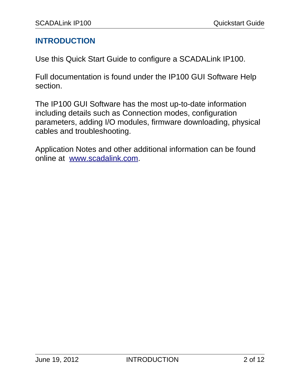#### **INTRODUCTION**

Use this Quick Start Guide to configure a SCADALink IP100.

Full documentation is found under the IP100 GUI Software Help section.

The IP100 GUI Software has the most up-to-date information including details such as Connection modes, configuration parameters, adding I/O modules, firmware downloading, physical cables and troubleshooting.

Application Notes and other additional information can be found online at [www.scadalink.com.](http://www.scadalink.com/)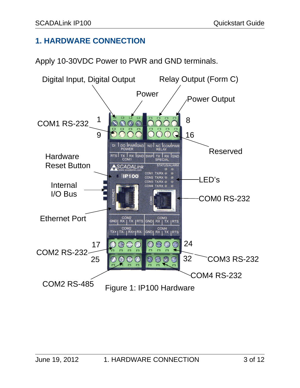# **1. HARDWARE CONNECTION**

Apply 10-30VDC Power to PWR and GND terminals.

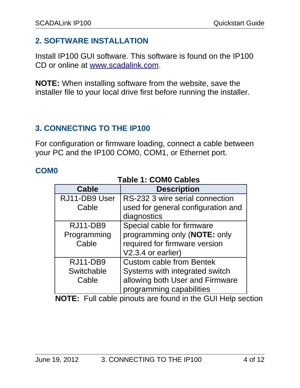# **2. SOFTWARE INSTALLATION**

Install IP100 GUI software. This software is found on the IP100 CD or online at [www.scadalink.com.](http://www.scadalink.com/)

**NOTE:** When installing software from the website, save the installer file to your local drive first before running the installer.

## **3. CONNECTING TO THE IP100**

For configuration or firmware loading, connect a cable between your PC and the IP100 COM0, COM1, or Ethernet port.

#### **COM0**

| LANIC II CUMU CANICS |                                    |  |
|----------------------|------------------------------------|--|
| <b>Cable</b>         | <b>Description</b>                 |  |
| RJ11-DB9 User        | RS-232 3 wire serial connection    |  |
| Cable                | used for general configuration and |  |
|                      | diagnostics                        |  |
| <b>RJ11-DB9</b>      | Special cable for firmware         |  |
| Programming          | programming only (NOTE: only       |  |
| Cable                | required for firmware version      |  |
|                      | V2.3.4 or earlier)                 |  |
| <b>RJ11-DB9</b>      | <b>Custom cable from Bentek</b>    |  |
| Switchable           | Systems with integrated switch     |  |
| Cable                | allowing both User and Firmware    |  |
|                      | programming capabilities           |  |

#### **Table 1: COM0 Cables**

**NOTE:** Full cable pinouts are found in the GUI Help section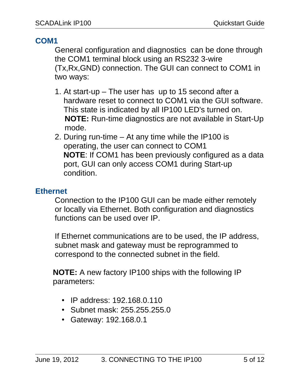# **COM1**

General configuration and diagnostics can be done through the COM1 terminal block using an RS232 3-wire (Tx,Rx,GND) connection. The GUI can connect to COM1 in two ways:

- 1. At start-up The user has up to 15 second after a hardware reset to connect to COM1 via the GUI software. This state is indicated by all IP100 LED's turned on. **NOTE:** Run-time diagnostics are not available in Start-Up mode.
- 2. During run-time At any time while the IP100 is operating, the user can connect to COM1  **NOTE**: If COM1 has been previously configured as a data port, GUI can only access COM1 during Start-up condition.

# **Ethernet**

Connection to the IP100 GUI can be made either remotely or locally via Ethernet. Both configuration and diagnostics functions can be used over IP.

If Ethernet communications are to be used, the IP address, subnet mask and gateway must be reprogrammed to correspond to the connected subnet in the field.

**NOTE:** A new factory IP100 ships with the following IP parameters:

- IP address: 192.168.0.110
- Subnet mask: 255.255.255.0
- Gateway: 192.168.0.1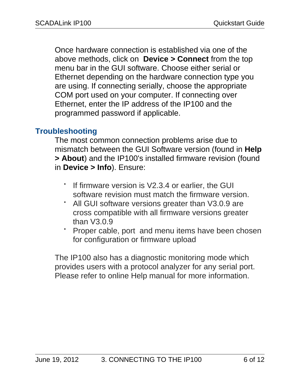Once hardware connection is established via one of the above methods, click on **Device > Connect** from the top menu bar in the GUI software. Choose either serial or Ethernet depending on the hardware connection type you are using. If connecting serially, choose the appropriate COM port used on your computer. If connecting over Ethernet, enter the IP address of the IP100 and the programmed password if applicable.

## **Troubleshooting**

The most common connection problems arise due to mismatch between the GUI Software version (found in **Help > About**) and the IP100's installed firmware revision (found in **Device > Info**). Ensure:

- If firmware version is V2.3.4 or earlier, the GUI software revision must match the firmware version.
- All GUI software versions greater than V3.0.9 are cross compatible with all firmware versions greater than V3.0.9
- Proper cable, port and menu items have been chosen for configuration or firmware upload

The IP100 also has a diagnostic monitoring mode which provides users with a protocol analyzer for any serial port. Please refer to online Help manual for more information.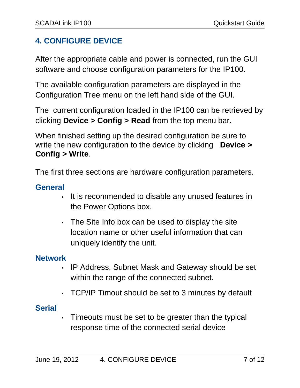# **4. CONFIGURE DEVICE**

After the appropriate cable and power is connected, run the GUI software and choose configuration parameters for the IP100.

The available configuration parameters are displayed in the Configuration Tree menu on the left hand side of the GUI.

The current configuration loaded in the IP100 can be retrieved by clicking **Device > Config > Read** from the top menu bar.

When finished setting up the desired configuration be sure to write the new configuration to the device by clicking **Device > Config > Write**.

The first three sections are hardware configuration parameters.

#### **General**

- It is recommended to disable any unused features in the Power Options box.
- The Site Info box can be used to display the site location name or other useful information that can uniquely identify the unit.

#### **Network**

- IP Address, Subnet Mask and Gateway should be set within the range of the connected subnet.
- TCP/IP Timout should be set to 3 minutes by default

#### **Serial**

• Timeouts must be set to be greater than the typical response time of the connected serial device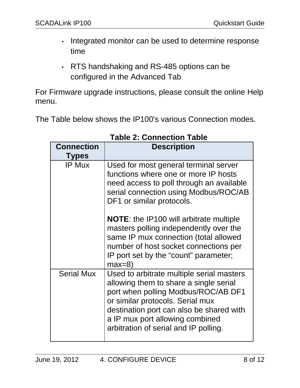- Integrated monitor can be used to determine response time
- RTS handshaking and RS-485 options can be configured in the Advanced Tab

For Firmware upgrade instructions, please consult the online Help menu.

The Table below shows the IP100's various Connection modes.

| <b>Connection</b><br><b>Types</b> | <b>Description</b>                                                                                                                                                                                                                                                                     |
|-----------------------------------|----------------------------------------------------------------------------------------------------------------------------------------------------------------------------------------------------------------------------------------------------------------------------------------|
| <b>IP Mux</b>                     | Used for most general terminal server<br>functions where one or more IP hosts<br>need access to poll through an available<br>serial connection using Modbus/ROC/AB<br>DF1 or similar protocols.                                                                                        |
|                                   | <b>NOTE:</b> the IP100 will arbitrate multiple<br>masters polling independently over the<br>same IP mux connection (total allowed<br>number of host socket connections per<br>IP port set by the "count" parameter;<br>$max=8$                                                         |
| <b>Serial Mux</b>                 | Used to arbitrate multiple serial masters<br>allowing them to share a single serial<br>port when polling Modbus/ROC/AB DF1<br>or similar protocols. Serial mux<br>destination port can also be shared with<br>a IP mux port allowing combined<br>arbitration of serial and IP polling. |

#### **Table 2: Connection Table**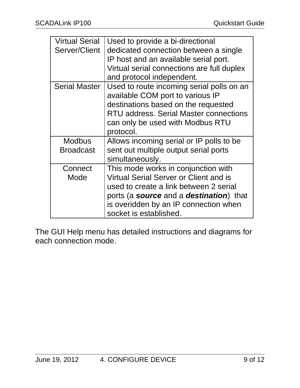| <b>Virtual Serial</b><br>Server/Client | Used to provide a bi-directional<br>dedicated connection between a single<br>IP host and an available serial port.<br>Virtual serial connections are full duplex<br>and protocol independent.                                                               |
|----------------------------------------|-------------------------------------------------------------------------------------------------------------------------------------------------------------------------------------------------------------------------------------------------------------|
| <b>Serial Master</b>                   | Used to route incoming serial polls on an<br>available COM port to various IP<br>destinations based on the requested<br>RTU address. Serial Master connections<br>can only be used with Modbus RTU<br>protocol.                                             |
| <b>Modbus</b><br><b>Broadcast</b>      | Allows incoming serial or IP polls to be<br>sent out multiple output serial ports<br>simultaneously.                                                                                                                                                        |
| Connect<br>Mode                        | This mode works in conjunction with<br><b>Virtual Serial Server or Client and is</b><br>used to create a link between 2 serial<br>ports (a <b>source</b> and a <b>destination</b> ) that<br>is overidden by an IP connection when<br>socket is established. |

The GUI Help menu has detailed instructions and diagrams for each connection mode.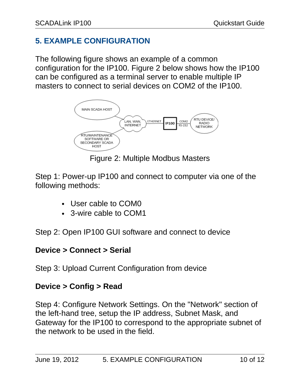# **5. EXAMPLE CONFIGURATION**

The following figure shows an example of a common configuration for the IP100. Figure 2 below shows how the IP100 can be configured as a terminal server to enable multiple IP masters to connect to serial devices on COM2 of the IP100.



Figure 2: Multiple Modbus Masters

Step 1: Power-up IP100 and connect to computer via one of the following methods:

- User cable to COM0
- 3-wire cable to COM1

Step 2: Open IP100 GUI software and connect to device

#### **Device > Connect > Serial**

Step 3: Upload Current Configuration from device

#### **Device > Config > Read**

Step 4: Configure Network Settings. On the "Network" section of the left-hand tree, setup the IP address, Subnet Mask, and Gateway for the IP100 to correspond to the appropriate subnet of the network to be used in the field.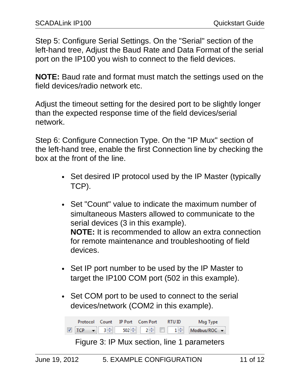Step 5: Configure Serial Settings. On the "Serial" section of the left-hand tree, Adjust the Baud Rate and Data Format of the serial port on the IP100 you wish to connect to the field devices.

**NOTE:** Baud rate and format must match the settings used on the field devices/radio network etc.

Adjust the timeout setting for the desired port to be slightly longer than the expected response time of the field devices/serial network.

Step 6: Configure Connection Type. On the "IP Mux" section of the left-hand tree, enable the first Connection line by checking the box at the front of the line.

- Set desired IP protocol used by the IP Master (typically TCP).
- Set "Count" value to indicate the maximum number of simultaneous Masters allowed to communicate to the serial devices (3 in this example). **NOTE:** It is recommended to allow an extra connection for remote maintenance and troubleshooting of field devices.
- Set IP port number to be used by the IP Master to target the IP100 COM port (502 in this example).
- Set COM port to be used to connect to the serial devices/network (COM2 in this example).



Figure 3: IP Mux section, line 1 parameters